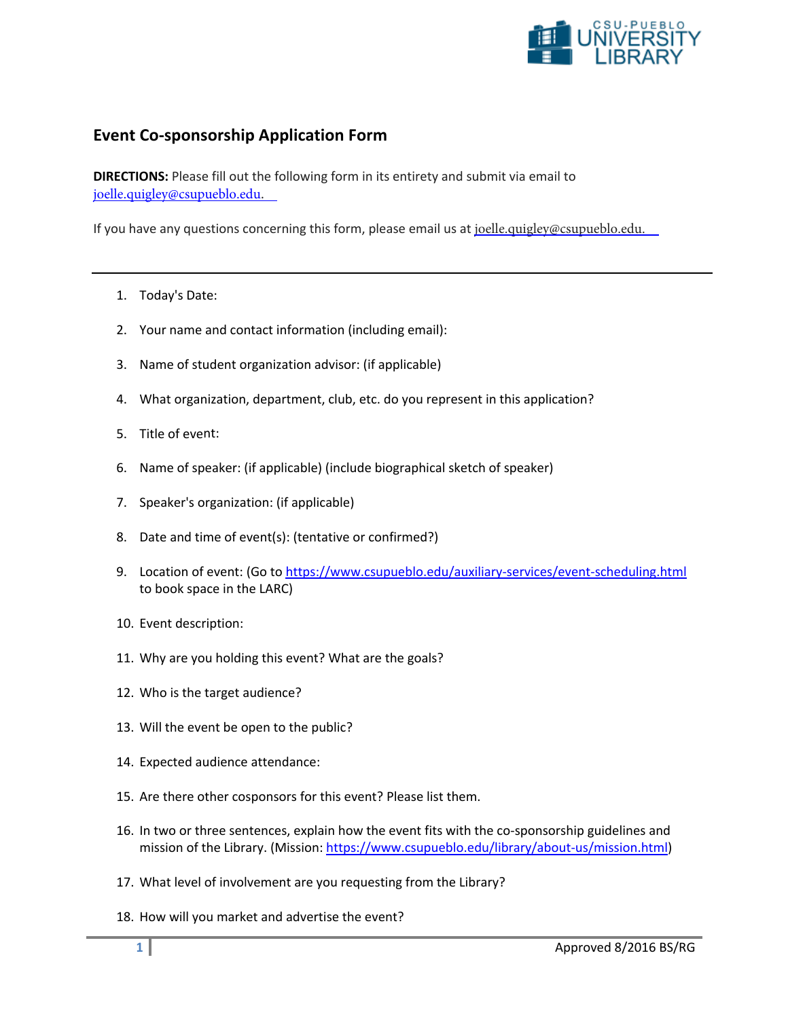

## **Event Co-sponsorship Application Form**

**DIRECTIONS:** Please fill out the following form in its entirety and submit via email to joelle.quigley@csupueblo.edu.

If you have any questions concerning this form, please email us at joelle.quigley@csupueblo.edu.

- 1. Today's Date:
- 2. Your name and contact information (including email):
- 3. Name of student organization advisor: (if applicable)
- 4. What organization, department, club, etc. do you represent in this application?
- 5. Title of event:
- 6. Name of speaker: (if applicable) (include biographical sketch of speaker)
- 7. Speaker's organization: (if applicable)
- 8. Date and time of event(s): (tentative or confirmed?)
- 9. Location of event: (Go to https://www.csupueblo.edu/auxiliary-services/event-scheduling.html to book space in the LARC)
- 10. Event description:
- 11. Why are you holding this event? What are the goals?
- 12. Who is the target audience?
- 13. Will the event be open to the public?
- 14. Expected audience attendance:
- 15. Are there other cosponsors for this event? Please list them.
- 16. In two or three sentences, explain how the event fits with the co-sponsorship guidelines and mission of the Library. (Mission: https://www.csupueblo.edu/library/about-us/mission.html)
- 17. What level of involvement are you requesting from the Library?
- 18. How will you market and advertise the event?